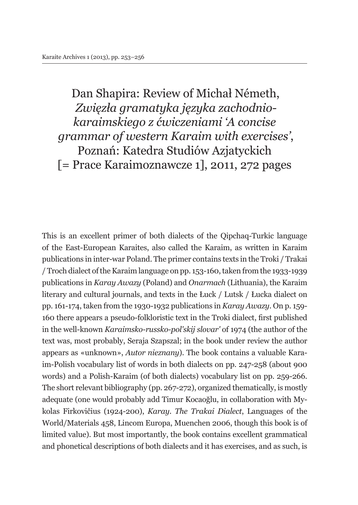Dan Shapira: Review of Michał Németh, *Zwięzła gramatyka języka zachodniokaraimskiego z ćwiczeniami 'A concise grammar of western Karaim with exercises'*, Poznań: Katedra Studiów Azjatyckich [= Prace Karaimoznawcze 1], 2011, 272 pages

This is an excellent primer of both dialects of the Qipchaq-Turkic language of the East-European Karaites, also called the Karaim, as written in Karaim publications in inter-war Poland. The primer contains texts in the Troki / Trakai / Troch dialect of the Karaim language on pp. 153-160, taken from the 1933-1939 publications in *Karay Awazy* (Poland) and *Onarmach* (Lithuania), the Karaim literary and cultural journals, and texts in the Łuck / Lutsk / Łucka dialect on pp. 161-174, taken from the 1930-1932 publications in *Karay Awazy*. On p. 159- 160 there appears a pseudo-folkloristic text in the Troki dialect, first published in the well-known *Karaimsko-russko-pol'skij slovar'* of 1974 (the author of the text was, most probably, Seraja Szapszal; in the book under review the author appears as «unknown», *Autor nieznany*). The book contains a valuable Karaim-Polish vocabulary list of words in both dialects on pp. 247-258 (about 900 words) and a Polish-Karaim (of both dialects) vocabulary list on pp. 259-266. The short relevant bibliography (pp. 267-272), organized thematically, is mostly adequate (one would probably add Timur Kocaoğlu, in collaboration with Mykolas Firkovičius (1924-200), *Karay. The Trakai Dialect*, Languages of the World/Materials 458, Lincom Europa, Muenchen 2006, though this book is of limited value). But most importantly, the book contains excellent grammatical and phonetical descriptions of both dialects and it has exercises, and as such, is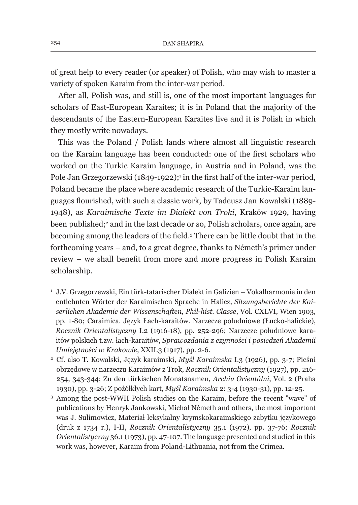of great help to every reader (or speaker) of Polish, who may wish to master a variety of spoken Karaim from the inter-war period.

After all, Polish was, and still is, one of the most important languages for scholars of East-European Karaites; it is in Poland that the majority of the descendants of the Eastern-European Karaites live and it is Polish in which they mostly write nowadays.

This was the Poland / Polish lands where almost all linguistic research on the Karaim language has been conducted: one of the first scholars who worked on the Turkic Karaim language, in Austria and in Poland, was the Pole Jan Grzegorzewski (1849-1922);<sup>1</sup> in the first half of the inter-war period, Poland became the place where academic research of the Turkic-Karaim languages flourished, with such a classic work, by Tadeusz Jan Kowalski (1889- 1948), as *Karaimische Texte im Dialekt von Troki*, Kraków 1929, having been published;<sup>2</sup> and in the last decade or so, Polish scholars, once again, are becoming among the leaders of the field.<sup>3</sup> There can be little doubt that in the forthcoming years – and, to a great degree, thanks to Németh's primer under review – we shall benefit from more and more progress in Polish Karaim scholarship.

<sup>1</sup> J.V. Grzegorzewski, Ein türk-tatarischer Dialekt in Galizien – Vokalharmonie in den entlehnten Wörter der Karaimischen Sprache in Halicz, *Sitzungsberichte der Kaiserlichen Akademie der Wissenschaften, Phil-hist. Classe*, Vol. CXLVI, Wien 1903, pp. 1-80; Caraimica. Język Łach-karaitów. Narzecze południowe (Łucko-halickie), *Rocznik Orientalistyczny* I.2 (1916-18), pp. 252-296; Narzecze południowe karaitów polskich t.zw. łach-karaitów, *Sprawozdania z czynności i posiedzeń Akademii Umiejętności w Krakowie*, XXII.3 (1917), pp. 2-6.

<sup>2</sup> Cf. also T. Kowalski, Język karaimski, *Myśl Karaimska* I.3 (1926), pp. 3-7; Pieśni obrzędowe w narzeczu Karaimów z Trok, *Rocznik Orientalistyczny* (1927), pp. 216- 254, 343-344; Zu den türkischen Monatsnamen, *Archiv Orientální*, Vol. 2 (Praha 1930), pp. 3-26; Z pożółkłych kart, *Myśl Karaimska* 2: 3-4 (1930-31), pp. 12-25.

<sup>3</sup> Among the post-WWII Polish studies on the Karaim, before the recent "wave" of publications by Henryk Jankowski, Michał Németh and others, the most important was J. Sulimowicz, Materiał leksykalny krymskokaraimskiego zabytku językowego (druk z 1734 r.), I-II, *Rocznik Orientalistyczny* 35.1 (1972), pp. 37-76; *Rocznik Orientalistyczny* 36.1 (1973), pp. 47-107. The language presented and studied in this work was, however, Karaim from Poland-Lithuania, not from the Crimea.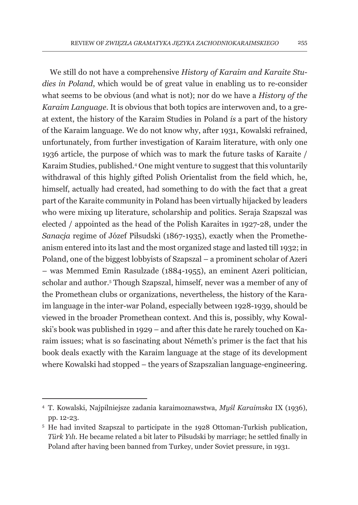We still do not have a comprehensive *History of Karaim and Karaite Studies in Poland*, which would be of great value in enabling us to re-consider what seems to be obvious (and what is not); nor do we have a *History of the Karaim Language*. It is obvious that both topics are interwoven and, to a great extent, the history of the Karaim Studies in Poland *is* a part of the history of the Karaim language. We do not know why, after 1931, Kowalski refrained, unfortunately, from further investigation of Karaim literature, with only one 1936 article, the purpose of which was to mark the future tasks of Karaite / Karaim Studies, published.4 One might venture to suggest that this voluntarily withdrawal of this highly gifted Polish Orientalist from the field which, he, himself, actually had created, had something to do with the fact that a great part of the Karaite community in Poland has been virtually hijacked by leaders who were mixing up literature, scholarship and politics. Seraja Szapszal was elected / appointed as the head of the Polish Karaites in 1927-28, under the *Sanacja* regime of Józef Piłsudski (1867-1935), exactly when the Prometheanism entered into its last and the most organized stage and lasted till 1932; in Poland, one of the biggest lobbyists of Szapszal – a prominent scholar of Azeri – was Memmed Emin Rasulzade (1884-1955), an eminent Azeri politician, scholar and author.<sup>5</sup> Though Szapszal, himself, never was a member of any of the Promethean clubs or organizations, nevertheless, the history of the Karaim language in the inter-war Poland, especially between 1928-1939, should be viewed in the broader Promethean context. And this is, possibly, why Kowalski's book was published in 1929 – and after this date he rarely touched on Karaim issues; what is so fascinating about Németh's primer is the fact that his book deals exactly with the Karaim language at the stage of its development where Kowalski had stopped – the years of Szapszalian language-engineering.

<sup>4</sup> T. Kowalski, Najpilniejsze zadania karaimoznawstwa, *Myśl Karaimska* IX (1936), pp. 12-23.

<sup>&</sup>lt;sup>5</sup> He had invited Szapszal to participate in the 1928 Ottoman-Turkish publication, *Türk Yılı*. He became related a bit later to Piłsudski by marriage; he settled finally in Poland after having been banned from Turkey, under Soviet pressure, in 1931.